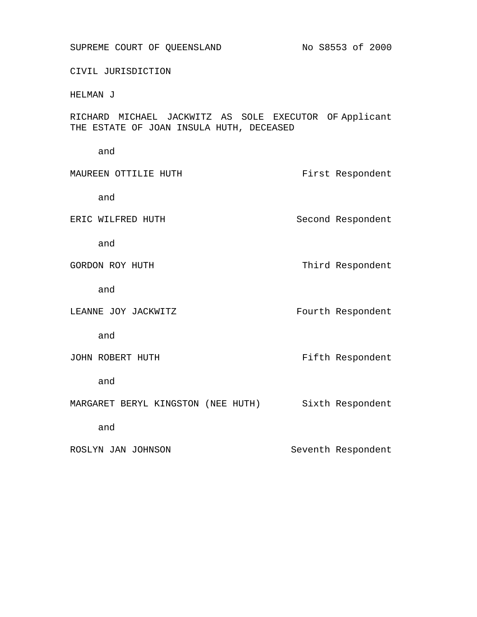SUPREME COURT OF QUEENSLAND No S8553 of 2000

CIVIL JURISDICTION

HELMAN J

RICHARD MICHAEL JACKWITZ AS SOLE EXECUTOR OF Applicant THE ESTATE OF JOAN INSULA HUTH, DECEASED

and

MAUREEN OTTILIE HUTH FIRST PRESENTIAL RESPONDENT

and

ERIC WILFRED HUTH Second Respondent

and

GORDON ROY HUTH Third Respondent

and

LEANNE JOY JACKWITZ **Fourth Respondent** 

and

JOHN ROBERT HUTH Fifth Respondent

and

MARGARET BERYL KINGSTON (NEE HUTH) Sixth Respondent

and

ROSLYN JAN JOHNSON Seventh Respondent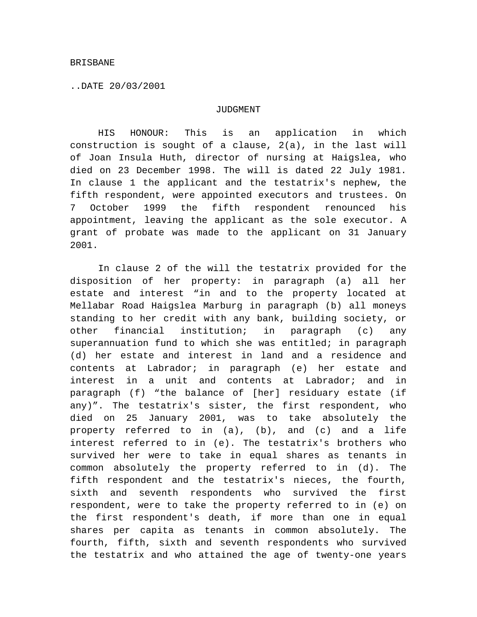..DATE 20/03/2001

## JUDGMENT

HIS HONOUR: This is an application in which construction is sought of a clause, 2(a), in the last will of Joan Insula Huth, director of nursing at Haigslea, who died on 23 December 1998. The will is dated 22 July 1981. In clause 1 the applicant and the testatrix's nephew, the fifth respondent, were appointed executors and trustees. On 7 October 1999 the fifth respondent renounced his appointment, leaving the applicant as the sole executor. A grant of probate was made to the applicant on 31 January 2001.

In clause 2 of the will the testatrix provided for the disposition of her property: in paragraph (a) all her estate and interest "in and to the property located at Mellabar Road Haigslea Marburg in paragraph (b) all moneys standing to her credit with any bank, building society, or other financial institution; in paragraph (c) any superannuation fund to which she was entitled; in paragraph (d) her estate and interest in land and a residence and contents at Labrador; in paragraph (e) her estate and interest in a unit and contents at Labrador; and in paragraph (f) "the balance of [her] residuary estate (if any)". The testatrix's sister, the first respondent, who died on 25 January 2001, was to take absolutely the property referred to in (a), (b), and (c) and a life interest referred to in (e). The testatrix's brothers who survived her were to take in equal shares as tenants in common absolutely the property referred to in (d). The fifth respondent and the testatrix's nieces, the fourth, sixth and seventh respondents who survived the first respondent, were to take the property referred to in (e) on the first respondent's death, if more than one in equal shares per capita as tenants in common absolutely. The fourth, fifth, sixth and seventh respondents who survived the testatrix and who attained the age of twenty-one years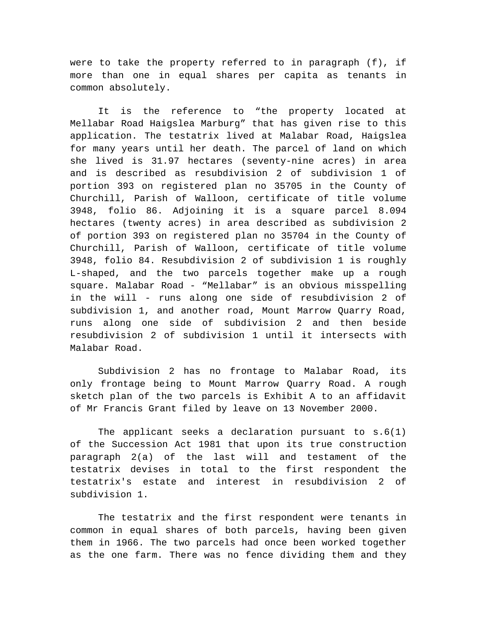were to take the property referred to in paragraph (f), if more than one in equal shares per capita as tenants in common absolutely.

It is the reference to "the property located at Mellabar Road Haigslea Marburg" that has given rise to this application. The testatrix lived at Malabar Road, Haigslea for many years until her death. The parcel of land on which she lived is 31.97 hectares (seventy-nine acres) in area and is described as resubdivision 2 of subdivision 1 of portion 393 on registered plan no 35705 in the County of Churchill, Parish of Walloon, certificate of title volume 3948, folio 86. Adjoining it is a square parcel 8.094 hectares (twenty acres) in area described as subdivision 2 of portion 393 on registered plan no 35704 in the County of Churchill, Parish of Walloon, certificate of title volume 3948, folio 84. Resubdivision 2 of subdivision 1 is roughly L-shaped, and the two parcels together make up a rough square. Malabar Road - "Mellabar" is an obvious misspelling in the will - runs along one side of resubdivision 2 of subdivision 1, and another road, Mount Marrow Quarry Road, runs along one side of subdivision 2 and then beside resubdivision 2 of subdivision 1 until it intersects with Malabar Road.

Subdivision 2 has no frontage to Malabar Road, its only frontage being to Mount Marrow Quarry Road. A rough sketch plan of the two parcels is Exhibit A to an affidavit of Mr Francis Grant filed by leave on 13 November 2000.

The applicant seeks a declaration pursuant to s.6(1) of the Succession Act 1981 that upon its true construction paragraph 2(a) of the last will and testament of the testatrix devises in total to the first respondent the testatrix's estate and interest in resubdivision 2 of subdivision 1.

The testatrix and the first respondent were tenants in common in equal shares of both parcels, having been given them in 1966. The two parcels had once been worked together as the one farm. There was no fence dividing them and they